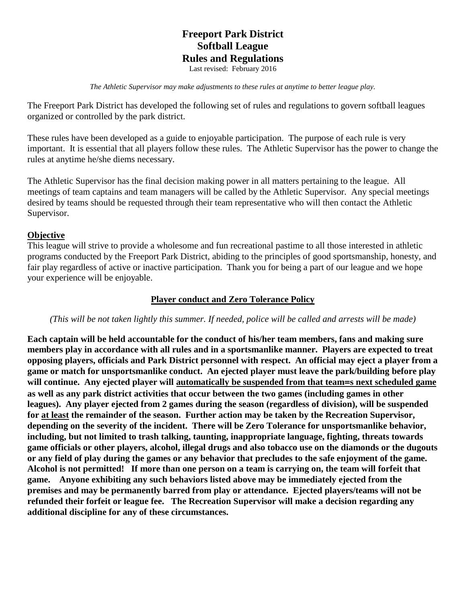### **Freeport Park District Softball League Rules and Regulations** Last revised: February 2016

*The Athletic Supervisor may make adjustments to these rules at anytime to better league play.*

The Freeport Park District has developed the following set of rules and regulations to govern softball leagues organized or controlled by the park district.

These rules have been developed as a guide to enjoyable participation. The purpose of each rule is very important. It is essential that all players follow these rules. The Athletic Supervisor has the power to change the rules at anytime he/she diems necessary.

The Athletic Supervisor has the final decision making power in all matters pertaining to the league. All meetings of team captains and team managers will be called by the Athletic Supervisor. Any special meetings desired by teams should be requested through their team representative who will then contact the Athletic Supervisor.

#### **Objective**

This league will strive to provide a wholesome and fun recreational pastime to all those interested in athletic programs conducted by the Freeport Park District, abiding to the principles of good sportsmanship, honesty, and fair play regardless of active or inactive participation. Thank you for being a part of our league and we hope your experience will be enjoyable.

#### **Player conduct and Zero Tolerance Policy**

#### *(This will be not taken lightly this summer. If needed, police will be called and arrests will be made)*

**Each captain will be held accountable for the conduct of his/her team members, fans and making sure members play in accordance with all rules and in a sportsmanlike manner. Players are expected to treat opposing players, officials and Park District personnel with respect. An official may eject a player from a game or match for unsportsmanlike conduct. An ejected player must leave the park/building before play will continue. Any ejected player will automatically be suspended from that team=s next scheduled game as well as any park district activities that occur between the two games (including games in other leagues). Any player ejected from 2 games during the season (regardless of division), will be suspended for at least the remainder of the season. Further action may be taken by the Recreation Supervisor, depending on the severity of the incident. There will be Zero Tolerance for unsportsmanlike behavior, including, but not limited to trash talking, taunting, inappropriate language, fighting, threats towards game officials or other players, alcohol, illegal drugs and also tobacco use on the diamonds or the dugouts or any field of play during the games or any behavior that precludes to the safe enjoyment of the game. Alcohol is not permitted! If more than one person on a team is carrying on, the team will forfeit that game. Anyone exhibiting any such behaviors listed above may be immediately ejected from the premises and may be permanently barred from play or attendance. Ejected players/teams will not be refunded their forfeit or league fee. The Recreation Supervisor will make a decision regarding any additional discipline for any of these circumstances.**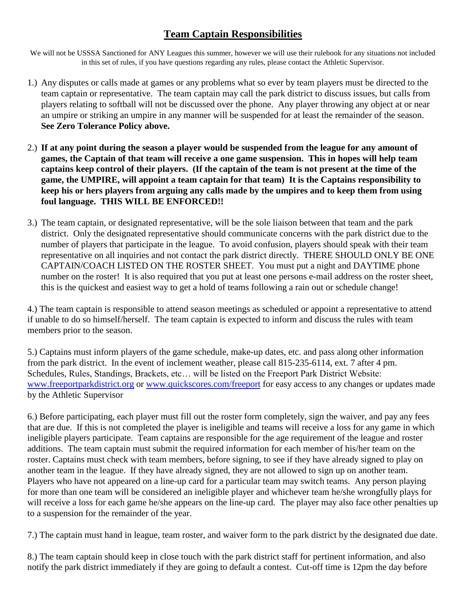# **Team Captain Responsibilities**

We will not be USSSA Sanctioned for ANY Leagues this summer, however we will use their rulebook for any situations not included in this set of rules, if you have questions regarding any rules, please contact the Athletic Supervisor.

- 1.) Any disputes or calls made at games or any problems what so ever by team players must be directed to the team captain or representative. The team captain may call the park district to discuss issues, but calls from players relating to softball will not be discussed over the phone. Any player throwing any object at or near an umpire or striking an umpire in any manner will be suspended for at least the remainder of the season. **See Zero Tolerance Policy above.**
- 2.) **If at any point during the season a player would be suspended from the league for any amount of games, the Captain of that team will receive a one game suspension. This in hopes will help team captains keep control of their players. (If the captain of the team is not present at the time of the game, the UMPIRE, will appoint a team captain for that team) It is the Captains responsibility to keep his or hers players from arguing any calls made by the umpires and to keep them from using foul language. THIS WILL BE ENFORCED!!**
- 3.) The team captain, or designated representative, will be the sole liaison between that team and the park district. Only the designated representative should communicate concerns with the park district due to the number of players that participate in the league. To avoid confusion, players should speak with their team representative on all inquiries and not contact the park district directly. THERE SHOULD ONLY BE ONE CAPTAIN/COACH LISTED ON THE ROSTER SHEET. You must put a night and DAYTIME phone number on the roster! It is also required that you put at least one persons e-mail address on the roster sheet, this is the quickest and easiest way to get a hold of teams following a rain out or schedule change!

4.) The team captain is responsible to attend season meetings as scheduled or appoint a representative to attend if unable to do so himself/herself. The team captain is expected to inform and discuss the rules with team members prior to the season.

5.) Captains must inform players of the game schedule, make-up dates, etc. and pass along other information from the park district. In the event of inclement weather, please call 815-235-6114, ext. 7 after 4 pm. Schedules, Rules, Standings, Brackets, etc… will be listed on the Freeport Park District Website: [www.freeportparkdistrict.org](http://www.freeportparkdistrict.org/) or [www.quickscores.com/freeport](http://www.quickscores.com/freeport) for easy access to any changes or updates made by the Athletic Supervisor

6.) Before participating, each player must fill out the roster form completely, sign the waiver, and pay any fees that are due. If this is not completed the player is ineligible and teams will receive a loss for any game in which ineligible players participate. Team captains are responsible for the age requirement of the league and roster additions. The team captain must submit the required information for each member of his/her team on the roster. Captains must check with team members, before signing, to see if they have already signed to play on another team in the league. If they have already signed, they are not allowed to sign up on another team. Players who have not appeared on a line-up card for a particular team may switch teams. Any person playing for more than one team will be considered an ineligible player and whichever team he/she wrongfully plays for will receive a loss for each game he/she appears on the line-up card. The player may also face other penalties up to a suspension for the remainder of the year.

7.) The captain must hand in league, team roster, and waiver form to the park district by the designated due date.

8.) The team captain should keep in close touch with the park district staff for pertinent information, and also notify the park district immediately if they are going to default a contest. Cut-off time is 12pm the day before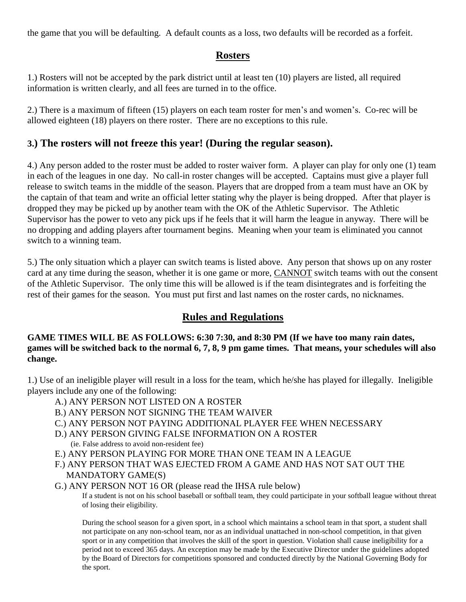the game that you will be defaulting. A default counts as a loss, two defaults will be recorded as a forfeit.

### **Rosters**

1.) Rosters will not be accepted by the park district until at least ten (10) players are listed, all required information is written clearly, and all fees are turned in to the office.

2.) There is a maximum of fifteen (15) players on each team roster for men's and women's. Co-rec will be allowed eighteen (18) players on there roster. There are no exceptions to this rule.

## **3.) The rosters will not freeze this year! (During the regular season).**

4.) Any person added to the roster must be added to roster waiver form. A player can play for only one (1) team in each of the leagues in one day. No call-in roster changes will be accepted. Captains must give a player full release to switch teams in the middle of the season. Players that are dropped from a team must have an OK by the captain of that team and write an official letter stating why the player is being dropped. After that player is dropped they may be picked up by another team with the OK of the Athletic Supervisor. The Athletic Supervisor has the power to veto any pick ups if he feels that it will harm the league in anyway. There will be no dropping and adding players after tournament begins. Meaning when your team is eliminated you cannot switch to a winning team.

5.) The only situation which a player can switch teams is listed above. Any person that shows up on any roster card at any time during the season, whether it is one game or more, CANNOT switch teams with out the consent of the Athletic Supervisor.The only time this will be allowed is if the team disintegrates and is forfeiting the rest of their games for the season. You must put first and last names on the roster cards, no nicknames.

# **Rules and Regulations**

#### **GAME TIMES WILL BE AS FOLLOWS: 6:30 7:30, and 8:30 PM (If we have too many rain dates, games will be switched back to the normal 6, 7, 8, 9 pm game times. That means, your schedules will also change.**

1.) Use of an ineligible player will result in a loss for the team, which he/she has played for illegally. Ineligible players include any one of the following:

- A.) ANY PERSON NOT LISTED ON A ROSTER
- B.) ANY PERSON NOT SIGNING THE TEAM WAIVER
- C.) ANY PERSON NOT PAYING ADDITIONAL PLAYER FEE WHEN NECESSARY
- D.) ANY PERSON GIVING FALSE INFORMATION ON A ROSTER (ie. False address to avoid non-resident fee)
- E.) ANY PERSON PLAYING FOR MORE THAN ONE TEAM IN A LEAGUE
- F.) ANY PERSON THAT WAS EJECTED FROM A GAME AND HAS NOT SAT OUT THE MANDATORY GAME(S)
- G.) ANY PERSON NOT 16 OR (please read the IHSA rule below)

If a student is not on his school baseball or softball team, they could participate in your softball league without threat of losing their eligibility.

During the school season for a given sport, in a school which maintains a school team in that sport, a student shall not participate on any non-school team, nor as an individual unattached in non-school competition, in that given sport or in any competition that involves the skill of the sport in question. Violation shall cause ineligibility for a period not to exceed 365 days. An exception may be made by the Executive Director under the guidelines adopted by the Board of Directors for competitions sponsored and conducted directly by the National Governing Body for the sport.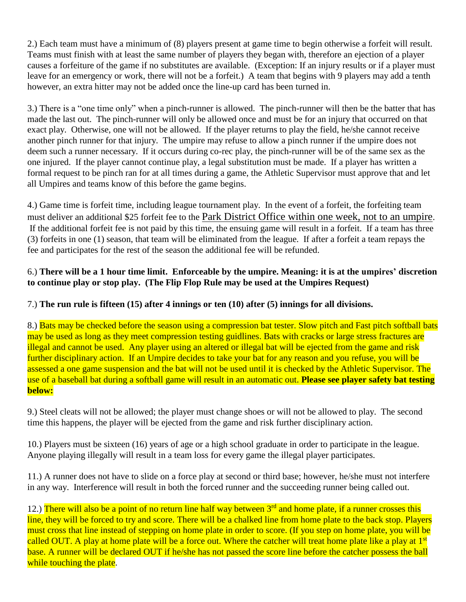2.) Each team must have a minimum of (8) players present at game time to begin otherwise a forfeit will result. Teams must finish with at least the same number of players they began with, therefore an ejection of a player causes a forfeiture of the game if no substitutes are available. (Exception: If an injury results or if a player must leave for an emergency or work, there will not be a forfeit.) A team that begins with 9 players may add a tenth however, an extra hitter may not be added once the line-up card has been turned in.

3.) There is a "one time only" when a pinch-runner is allowed. The pinch-runner will then be the batter that has made the last out. The pinch-runner will only be allowed once and must be for an injury that occurred on that exact play. Otherwise, one will not be allowed. If the player returns to play the field, he/she cannot receive another pinch runner for that injury. The umpire may refuse to allow a pinch runner if the umpire does not deem such a runner necessary. If it occurs during co-rec play, the pinch-runner will be of the same sex as the one injured. If the player cannot continue play, a legal substitution must be made. If a player has written a formal request to be pinch ran for at all times during a game, the Athletic Supervisor must approve that and let all Umpires and teams know of this before the game begins.

4.) Game time is forfeit time, including league tournament play. In the event of a forfeit, the forfeiting team must deliver an additional \$25 forfeit fee to the Park District Office within one week, not to an umpire. If the additional forfeit fee is not paid by this time, the ensuing game will result in a forfeit. If a team has three (3) forfeits in one (1) season, that team will be eliminated from the league. If after a forfeit a team repays the fee and participates for the rest of the season the additional fee will be refunded.

#### 6.) **There will be a 1 hour time limit. Enforceable by the umpire. Meaning: it is at the umpires' discretion to continue play or stop play. (The Flip Flop Rule may be used at the Umpires Request)**

### 7.) **The run rule is fifteen (15) after 4 innings or ten (10) after (5) innings for all divisions.**

8.) Bats may be checked before the season using a compression bat tester. Slow pitch and Fast pitch softball bats may be used as long as they meet compression testing guidlines. Bats with cracks or large stress fractures are illegal and cannot be used. Any player using an altered or illegal bat will be ejected from the game and risk further disciplinary action. If an Umpire decides to take your bat for any reason and you refuse, you will be assessed a one game suspension and the bat will not be used until it is checked by the Athletic Supervisor. The use of a baseball bat during a softball game will result in an automatic out. **Please see player safety bat testing below:**

9.) Steel cleats will not be allowed; the player must change shoes or will not be allowed to play. The second time this happens, the player will be ejected from the game and risk further disciplinary action.

10.) Players must be sixteen (16) years of age or a high school graduate in order to participate in the league. Anyone playing illegally will result in a team loss for every game the illegal player participates.

11.) A runner does not have to slide on a force play at second or third base; however, he/she must not interfere in any way. Interference will result in both the forced runner and the succeeding runner being called out.

12.) There will also be a point of no return line half way between  $3<sup>rd</sup>$  and home plate, if a runner crosses this line, they will be forced to try and score. There will be a chalked line from home plate to the back stop. Players must cross that line instead of stepping on home plate in order to score. (If you step on home plate, you will be called OUT. A play at home plate will be a force out. Where the catcher will treat home plate like a play at 1<sup>st</sup> base. A runner will be declared OUT if he/she has not passed the score line before the catcher possess the ball while touching the plate.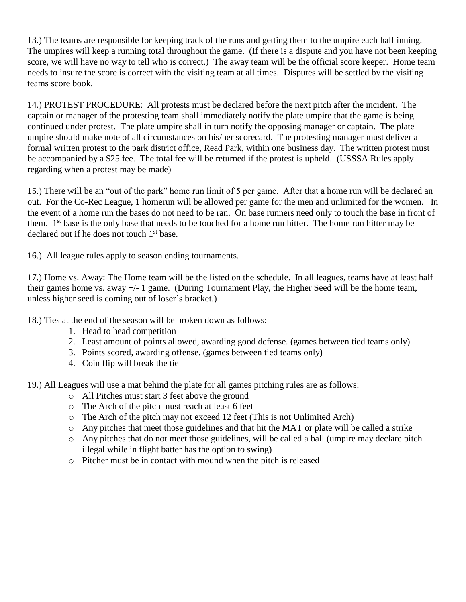13.) The teams are responsible for keeping track of the runs and getting them to the umpire each half inning. The umpires will keep a running total throughout the game. (If there is a dispute and you have not been keeping score, we will have no way to tell who is correct.) The away team will be the official score keeper. Home team needs to insure the score is correct with the visiting team at all times. Disputes will be settled by the visiting teams score book.

14.) PROTEST PROCEDURE: All protests must be declared before the next pitch after the incident. The captain or manager of the protesting team shall immediately notify the plate umpire that the game is being continued under protest. The plate umpire shall in turn notify the opposing manager or captain. The plate umpire should make note of all circumstances on his/her scorecard. The protesting manager must deliver a formal written protest to the park district office, Read Park, within one business day. The written protest must be accompanied by a \$25 fee. The total fee will be returned if the protest is upheld. (USSSA Rules apply regarding when a protest may be made)

15.) There will be an "out of the park" home run limit of 5 per game. After that a home run will be declared an out. For the Co-Rec League, 1 homerun will be allowed per game for the men and unlimited for the women. In the event of a home run the bases do not need to be ran. On base runners need only to touch the base in front of them. 1<sup>st</sup> base is the only base that needs to be touched for a home run hitter. The home run hitter may be declared out if he does not touch  $1<sup>st</sup>$  base.

16.) All league rules apply to season ending tournaments.

17.) Home vs. Away: The Home team will be the listed on the schedule. In all leagues, teams have at least half their games home vs. away +/- 1 game. (During Tournament Play, the Higher Seed will be the home team, unless higher seed is coming out of loser's bracket.)

18.) Ties at the end of the season will be broken down as follows:

- 1. Head to head competition
- 2. Least amount of points allowed, awarding good defense. (games between tied teams only)
- 3. Points scored, awarding offense. (games between tied teams only)
- 4. Coin flip will break the tie

19.) All Leagues will use a mat behind the plate for all games pitching rules are as follows:

- o All Pitches must start 3 feet above the ground
- o The Arch of the pitch must reach at least 6 feet
- o The Arch of the pitch may not exceed 12 feet (This is not Unlimited Arch)
- o Any pitches that meet those guidelines and that hit the MAT or plate will be called a strike
- o Any pitches that do not meet those guidelines, will be called a ball (umpire may declare pitch illegal while in flight batter has the option to swing)
- o Pitcher must be in contact with mound when the pitch is released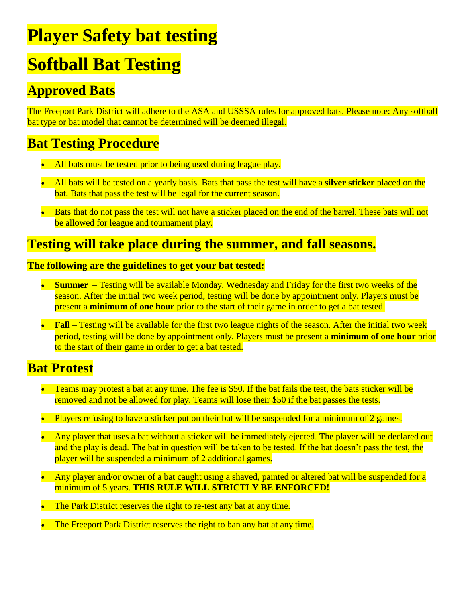# **Player Safety bat testing**

# **Softball Bat Testing**

# **Approved Bats**

The Freeport Park District will adhere to the ASA and USSSA rules for approved bats. Please note: Any softball bat type or bat model that cannot be determined will be deemed illegal.

# **Bat Testing Procedure**

- All bats must be tested prior to being used during league play.
- All bats will be tested on a yearly basis. Bats that pass the test will have a **silver sticker** placed on the bat. Bats that pass the test will be legal for the current season.
- Bats that do not pass the test will not have a sticker placed on the end of the barrel. These bats will not be allowed for league and tournament play.

# **Testing will take place during the summer, and fall seasons.**

### **The following are the guidelines to get your bat tested:**

- **Summer**  Testing will be available Monday, Wednesday and Friday for the first two weeks of the season. After the initial two week period, testing will be done by appointment only. Players must be present a **minimum of one hour** prior to the start of their game in order to get a bat tested.
- **Fall**  Testing will be available for the first two league nights of the season. After the initial two week period, testing will be done by appointment only. Players must be present a **minimum of one hour** prior to the start of their game in order to get a bat tested.

# **Bat Protest**

- Teams may protest a bat at any time. The fee is \$50. If the bat fails the test, the bats sticker will be removed and not be allowed for play. Teams will lose their \$50 if the bat passes the tests.
- Players refusing to have a sticker put on their bat will be suspended for a minimum of 2 games.
- Any player that uses a bat without a sticker will be immediately ejected. The player will be declared out and the play is dead. The bat in question will be taken to be tested. If the bat doesn't pass the test, the player will be suspended a minimum of 2 additional games.
- Any player and/or owner of a bat caught using a shaved, painted or altered bat will be suspended for a minimum of 5 years. **THIS RULE WILL STRICTLY BE ENFORCED!**
- The Park District reserves the right to re-test any bat at any time.
- The Freeport Park District reserves the right to ban any bat at any time.